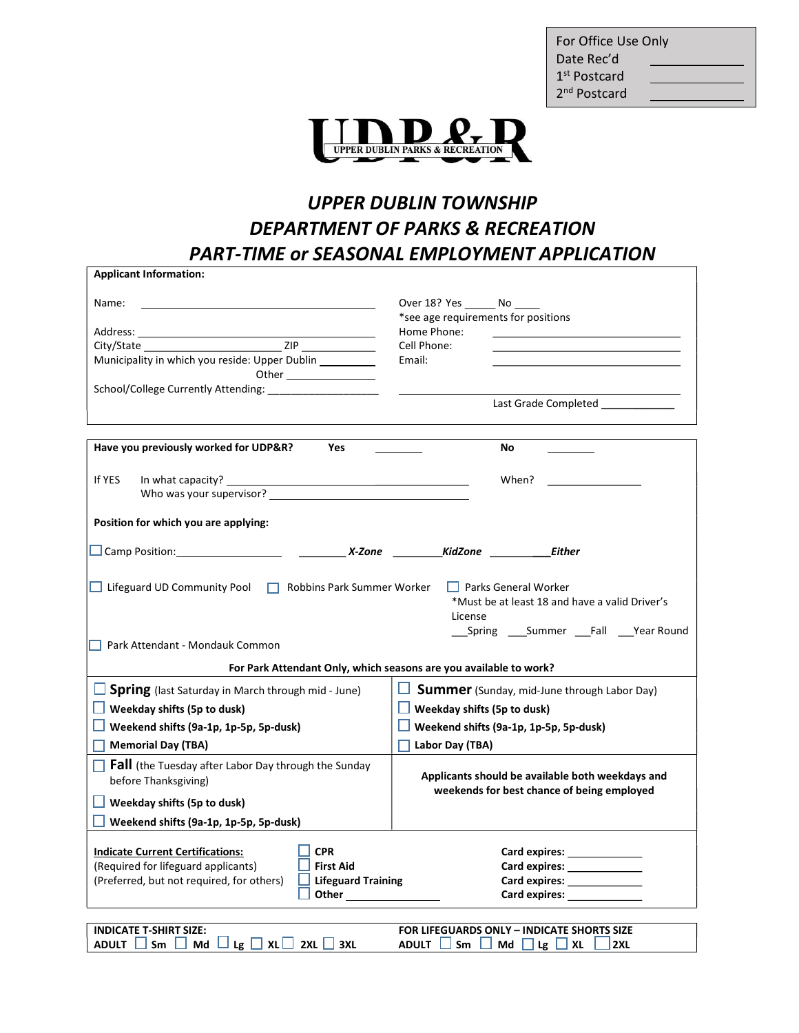| For Office Use Only      |  |  |
|--------------------------|--|--|
| Date Rec'd               |  |  |
| 1 <sup>st</sup> Postcard |  |  |
| 2 <sup>nd</sup> Postcard |  |  |



## UPPER DUBLIN TOWNSHIP DEPARTMENT OF PARKS & RECREATION PART-TIME or SEASONAL EMPLOYMENT APPLICATION

| <b>Applicant Information:</b>                                                                                                                                                                                                                |                                                                |  |
|----------------------------------------------------------------------------------------------------------------------------------------------------------------------------------------------------------------------------------------------|----------------------------------------------------------------|--|
| Name:                                                                                                                                                                                                                                        | Over 18? Yes _______ No _____                                  |  |
|                                                                                                                                                                                                                                              | *see age requirements for positions                            |  |
| Address: Analysis and the second service of the service of the service of the series of the series of the series of the series of the series of the series of the series of the series of the series of the series of the seri               | Home Phone:                                                    |  |
|                                                                                                                                                                                                                                              | Cell Phone:                                                    |  |
| Municipality in which you reside: Upper Dublin __________                                                                                                                                                                                    | Email:                                                         |  |
| Other and the control of the control of the control of the control of the control of the control of the control of the control of the control of the control of the control of the control of the control of the control of th               |                                                                |  |
| School/College Currently Attending:                                                                                                                                                                                                          |                                                                |  |
|                                                                                                                                                                                                                                              | Last Grade Completed <b>Exercise Services</b>                  |  |
| Have you previously worked for UDP&R?<br>Yes                                                                                                                                                                                                 | No                                                             |  |
|                                                                                                                                                                                                                                              |                                                                |  |
| If YES<br>In what capacity?                                                                                                                                                                                                                  | When?                                                          |  |
| Who was your supervisor?                                                                                                                                                                                                                     |                                                                |  |
|                                                                                                                                                                                                                                              |                                                                |  |
| Position for which you are applying:                                                                                                                                                                                                         |                                                                |  |
|                                                                                                                                                                                                                                              |                                                                |  |
|                                                                                                                                                                                                                                              |                                                                |  |
| Lifeguard UD Community Pool   Robbins Park Summer Worker<br>$\Box$ Parks General Worker<br>*Must be at least 18 and have a valid Driver's<br>License<br>____Spring ______Summer _____Fall _____Year Round<br>Park Attendant - Mondauk Common |                                                                |  |
| For Park Attendant Only, which seasons are you available to work?                                                                                                                                                                            |                                                                |  |
| <b>Spring</b> (last Saturday in March through mid - June)                                                                                                                                                                                    | $\Box$ <b>Summer</b> (Sunday, mid-June through Labor Day)      |  |
| $\Box$ Weekday shifts (5p to dusk)                                                                                                                                                                                                           | $\Box$ Weekday shifts (5p to dusk)                             |  |
| <b>U</b> Weekend shifts (9a-1p, 1p-5p, 5p-dusk)                                                                                                                                                                                              | Weekend shifts (9a-1p, 1p-5p, 5p-dusk)                         |  |
| <b>Memorial Day (TBA)</b>                                                                                                                                                                                                                    | Labor Day (TBA)                                                |  |
| $\Box$ Fall (the Tuesday after Labor Day through the Sunday                                                                                                                                                                                  |                                                                |  |
| before Thanksgiving)                                                                                                                                                                                                                         | Applicants should be available both weekdays and               |  |
|                                                                                                                                                                                                                                              | weekends for best chance of being employed                     |  |
| $\Box$ Weekday shifts (5p to dusk)                                                                                                                                                                                                           |                                                                |  |
| Weekend shifts (9a-1p, 1p-5p, 5p-dusk)                                                                                                                                                                                                       |                                                                |  |
|                                                                                                                                                                                                                                              |                                                                |  |
| <b>CPR</b><br><b>Indicate Current Certifications:</b><br>(Required for lifeguard applicants)<br><b>First Aid</b>                                                                                                                             | Card expires: <b>Example 20</b>                                |  |
| (Preferred, but not required, for others)<br><b>Lifeguard Training</b>                                                                                                                                                                       | Card expires: _______________<br>Card expires: _______________ |  |
|                                                                                                                                                                                                                                              |                                                                |  |
|                                                                                                                                                                                                                                              |                                                                |  |
| <b>INDICATE T-SHIRT SIZE:</b>                                                                                                                                                                                                                | <b>FOR LIFEGUARDS ONLY - INDICATE SHORTS SIZE</b>              |  |
|                                                                                                                                                                                                                                              |                                                                |  |

ADULT  $\Box$  Sm  $\Box$  Md  $\Box$  Lg  $\Box$  XL $\Box$  2XL  $\Box$  3XL ADULT  $\Box$  Sm  $\Box$  Md  $\Box$  Lg  $\Box$  XL  $\Box$  2XL